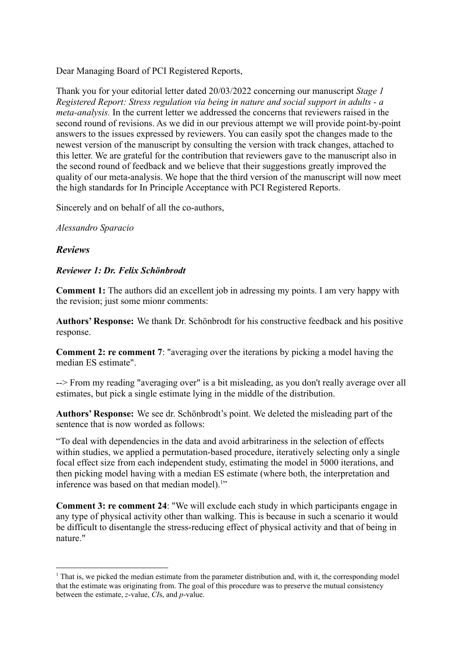Dear Managing Board of PCI Registered Reports,

Thank you for your editorial letter dated 20/03/2022 concerning our manuscript *Stage 1 Registered Report: Stress regulation via being in nature and social support in adults - a meta-analysis.* In the current letter we addressed the concerns that reviewers raised in the second round of revisions. As we did in our previous attempt we will provide point-by-point answers to the issues expressed by reviewers. You can easily spot the changes made to the newest version of the manuscript by consulting the version with track changes, attached to this letter. We are grateful for the contribution that reviewers gave to the manuscript also in the second round of feedback and we believe that their suggestions greatly improved the quality of our meta-analysis. We hope that the third version of the manuscript will now meet the high standards for In Principle Acceptance with PCI Registered Reports.

Sincerely and on behalf of all the co-authors,

## *Alessandro Sparacio*

## *Reviews*

## *Reviewer 1: Dr. Felix Schönbrodt*

**Comment 1:** The authors did an excellent job in adressing my points. I am very happy with the revision; just some mionr comments:

**Authors' Response:** We thank Dr. Schönbrodt for his constructive feedback and his positive response.

**Comment 2: re comment 7**: "averaging over the iterations by picking a model having the median ES estimate".

--> From my reading "averaging over" is a bit misleading, as you don't really average over all estimates, but pick a single estimate lying in the middle of the distribution.

**Authors' Response:** We see dr. Schönbrodt's point. We deleted the misleading part of the sentence that is now worded as follows:

"To deal with dependencies in the data and avoid arbitrariness in the selection of effects within studies, we applied a permutation-based procedure, iteratively selecting only a single focal effect size from each independent study, estimating the model in 5000 iterations, and then picking model having with a median ES estimate (where both, the interpretation and inference was based on that median model).<sup>1"</sup>

**Comment 3: re comment 24**: "We will exclude each study in which participants engage in any type of physical activity other than walking. This is because in such a scenario it would be difficult to disentangle the stress-reducing effect of physical activity and that of being in nature."

 $1$  That is, we picked the median estimate from the parameter distribution and, with it, the corresponding model that the estimate was originating from. The goal of this procedure was to preserve the mutual consistency between the estimate, *z*-value, *CI*s, and *p*-value.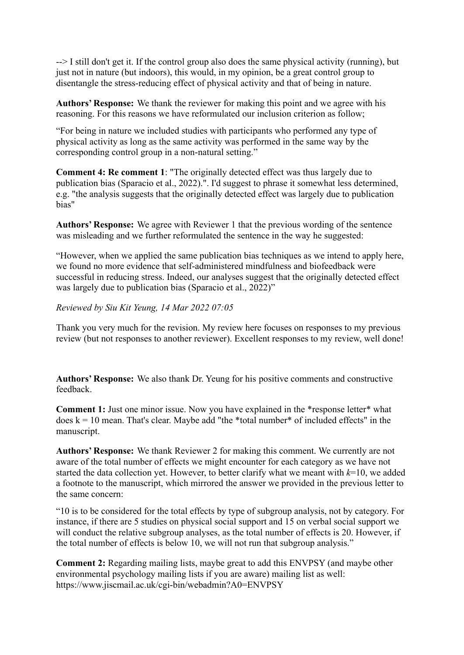--> I still don't get it. If the control group also does the same physical activity (running), but just not in nature (but indoors), this would, in my opinion, be a great control group to disentangle the stress-reducing effect of physical activity and that of being in nature.

**Authors' Response:** We thank the reviewer for making this point and we agree with his reasoning. For this reasons we have reformulated our inclusion criterion as follow;

"For being in nature we included studies with participants who performed any type of physical activity as long as the same activity was performed in the same way by the corresponding control group in a non-natural setting."

**Comment 4: Re comment 1**: "The originally detected effect was thus largely due to publication bias (Sparacio et al., 2022).". I'd suggest to phrase it somewhat less determined, e.g. "the analysis suggests that the originally detected effect was largely due to publication bias"

**Authors' Response:** We agree with Reviewer 1 that the previous wording of the sentence was misleading and we further reformulated the sentence in the way he suggested:

"However, when we applied the same publication bias techniques as we intend to apply here, we found no more evidence that self-administered mindfulness and biofeedback were successful in reducing stress. Indeed, our analyses suggest that the originally detected effect was largely due to publication bias (Sparacio et al., 2022)"

*Reviewed by Siu Kit Yeung, 14 Mar 2022 07:05*

Thank you very much for the revision. My review here focuses on responses to my previous review (but not responses to another reviewer). Excellent responses to my review, well done!

**Authors' Response:** We also thank Dr. Yeung for his positive comments and constructive feedback.

**Comment 1:** Just one minor issue. Now you have explained in the \*response letter\* what does  $k = 10$  mean. That's clear. Maybe add "the \*total number\* of included effects" in the manuscript.

**Authors' Response:** We thank Reviewer 2 for making this comment. We currently are not aware of the total number of effects we might encounter for each category as we have not started the data collection yet. However, to better clarify what we meant with *k*=10, we added a footnote to the manuscript, which mirrored the answer we provided in the previous letter to the same concern:

"10 is to be considered for the total effects by type of subgroup analysis, not by category. For instance, if there are 5 studies on physical social support and 15 on verbal social support we will conduct the relative subgroup analyses, as the total number of effects is 20. However, if the total number of effects is below 10, we will not run that subgroup analysis."

**Comment 2:** Regarding mailing lists, maybe great to add this ENVPSY (and maybe other environmental psychology mailing lists if you are aware) mailing list as well: https://www.jiscmail.ac.uk/cgi-bin/webadmin?A0=ENVPSY